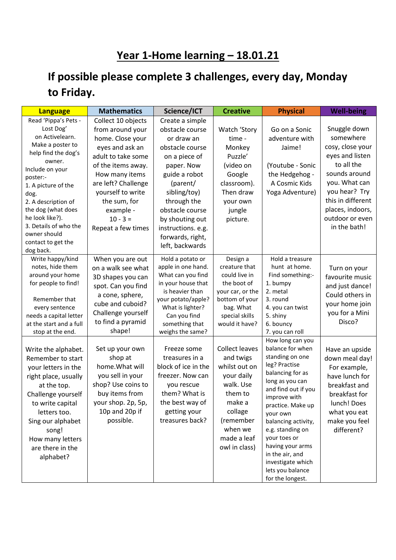## **Year 1-Home learning – 18.01.21**

## **If possible please complete 3 challenges, every day, Monday to Friday.**

| <b>Language</b>                                                                                                                                                                                                                                                                                                     | <b>Mathematics</b>                                                                                                                                                                                                                                       | Science/ICT                                                                                                                                                                                                                                                       | <b>Creative</b>                                                                                                                                                        | <b>Physical</b>                                                                                                                                                                                                                                                                                                                                        | <b>Well-being</b>                                                                                                                                                                                             |
|---------------------------------------------------------------------------------------------------------------------------------------------------------------------------------------------------------------------------------------------------------------------------------------------------------------------|----------------------------------------------------------------------------------------------------------------------------------------------------------------------------------------------------------------------------------------------------------|-------------------------------------------------------------------------------------------------------------------------------------------------------------------------------------------------------------------------------------------------------------------|------------------------------------------------------------------------------------------------------------------------------------------------------------------------|--------------------------------------------------------------------------------------------------------------------------------------------------------------------------------------------------------------------------------------------------------------------------------------------------------------------------------------------------------|---------------------------------------------------------------------------------------------------------------------------------------------------------------------------------------------------------------|
| Read 'Pippa's Pets -<br>Lost Dog'<br>on Activelearn.<br>Make a poster to<br>help find the dog's<br>owner.<br>Include on your<br>poster:-<br>1. A picture of the<br>dog.<br>2. A description of<br>the dog (what does<br>he look like?).<br>3. Details of who the<br>owner should<br>contact to get the<br>dog back. | Collect 10 objects<br>from around your<br>home. Close your<br>eyes and ask an<br>adult to take some<br>of the items away.<br>How many items<br>are left? Challenge<br>yourself to write<br>the sum, for<br>example -<br>$10 - 3 =$<br>Repeat a few times | Create a simple<br>obstacle course<br>or draw an<br>obstacle course<br>on a piece of<br>paper. Now<br>guide a robot<br>(parent/<br>sibling/toy)<br>through the<br>obstacle course<br>by shouting out<br>instructions. e.g.<br>forwards, right,<br>left, backwards | Watch 'Story<br>time -<br>Monkey<br>Puzzle'<br>(video on<br>Google<br>classroom).<br>Then draw<br>your own<br>jungle<br>picture.                                       | Go on a Sonic<br>adventure with<br>Jaime!<br>(Youtube - Sonic<br>the Hedgehog -<br>A Cosmic Kids<br>Yoga Adventure)                                                                                                                                                                                                                                    | Snuggle down<br>somewhere<br>cosy, close your<br>eyes and listen<br>to all the<br>sounds around<br>you. What can<br>you hear? Try<br>this in different<br>places, indoors,<br>outdoor or even<br>in the bath! |
| Write happy/kind<br>notes, hide them<br>around your home<br>for people to find!<br>Remember that<br>every sentence<br>needs a capital letter<br>at the start and a full<br>stop at the end.                                                                                                                         | When you are out<br>on a walk see what<br>3D shapes you can<br>spot. Can you find<br>a cone, sphere,<br>cube and cuboid?<br>Challenge yourself<br>to find a pyramid<br>shape!                                                                            | Hold a potato or<br>apple in one hand.<br>What can you find<br>in your house that<br>is heavier than<br>your potato/apple?<br>What is lighter?<br>Can you find<br>something that<br>weighs the same?                                                              | Design a<br>creature that<br>could live in<br>the boot of<br>your car, or the<br>bottom of your<br>bag. What<br>special skills<br>would it have?                       | Hold a treasure<br>hunt at home.<br>Find something:-<br>1. bumpy<br>2. metal<br>3. round<br>4. you can twist<br>5. shiny<br>6. bouncy<br>7. you can roll                                                                                                                                                                                               | Turn on your<br>favourite music<br>and just dance!<br>Could others in<br>your home join<br>you for a Mini<br>Disco?                                                                                           |
| Write the alphabet.<br>Remember to start<br>your letters in the<br>right place, usually<br>at the top.<br>Challenge yourself<br>to write capital<br>letters too.<br>Sing our alphabet<br>song!<br>How many letters<br>are there in the<br>alphabet?                                                                 | Set up your own<br>shop at<br>home. What will<br>you sell in your<br>shop? Use coins to<br>buy items from<br>your shop. 2p, 5p,<br>10p and 20p if<br>possible.                                                                                           | Freeze some<br>treasures in a<br>block of ice in the<br>freezer. Now can<br>you rescue<br>them? What is<br>the best way of<br>getting your<br>treasures back?                                                                                                     | <b>Collect leaves</b><br>and twigs<br>whilst out on<br>your daily<br>walk. Use<br>them to<br>make a<br>collage<br>(remember<br>when we<br>made a leaf<br>owl in class) | How long can you<br>balance for when<br>standing on one<br>leg? Practise<br>balancing for as<br>long as you can<br>and find out if you<br>improve with<br>practice. Make up<br>your own<br>balancing activity,<br>e.g. standing on<br>your toes or<br>having your arms<br>in the air, and<br>investigate which<br>lets you balance<br>for the longest. | Have an upside<br>down meal day!<br>For example,<br>have lunch for<br>breakfast and<br>breakfast for<br>lunch! Does<br>what you eat<br>make you feel<br>different?                                            |